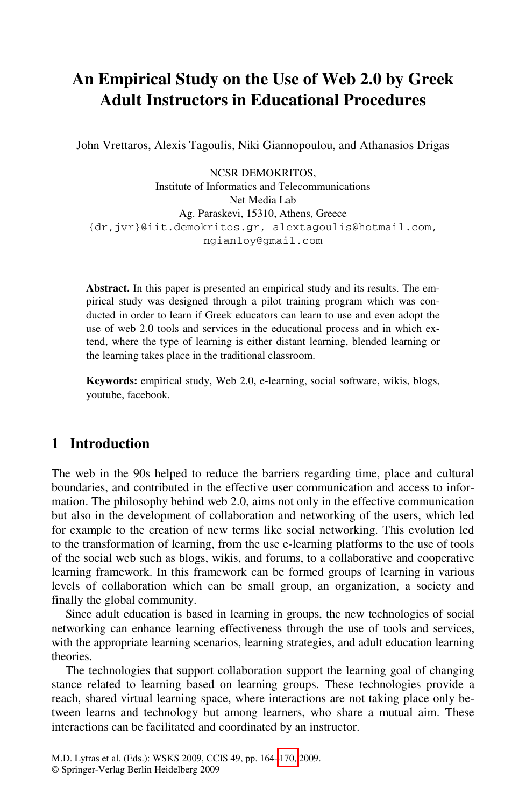# **An Empirical Study on the Use of Web 2.0 by Greek Adult Instructors in Educational Procedures**

John Vrettaros, Alexis Tagoulis, Niki Giannopoulou, and Athanasios Drigas

NCSR DEMOKRITOS, Institute of Informatics and Telecommunications Net Media Lab Ag. Paraskevi, 15310, Athens, Greece {dr,jvr}@iit.demokritos.gr, alextagoulis@hotmail.com, ngianloy@gmail.com

**Abstract.** In this paper is presented an empirical study and its results. The empirical study was designed through a pilot training program which was conducted in order to learn if Greek educators can learn to use and even adopt the use of web 2.0 tools and services in the educational process and in which extend, where the type of learning is either distant learning, blended learning or the learning takes place in the traditional classroom.

**Keywords:** empirical study, Web 2.0, e-learning, social software, wikis, blogs, youtube, facebook.

### **1 Introduction**

The web in the 90s helped to reduce the barriers regarding time, place and cultural boundaries, and contributed in the effective user communication and access to information. The philosophy behind web 2.0, aims not only in the effective communication but also in the development of collaboration and networking of the users, which led for example to the creation of new terms like social networking. This evolution led to the transformation of learning, from the use e-learning platforms to the use of tools of the social web such as blogs, wikis, and forums, to a collaborative and cooperative learning framework. In this framework can be formed groups of learning in various levels of collaboration which can be small group, an organization, a society and finally the global community.

Since adult education is based in learning in groups, the new technologies of social networking can enhance learning effectiveness through the use of tools and services, with the appropriate learn[ing s](#page-6-0)cenarios, learning strategies, and adult education learning theories.

The technologies that support collaboration support the learning goal of changing stance related to learning based on learning groups. These technologies provide a reach, shared virtual learning space, where interactions are not taking place only between learns and technology but among learners, who share a mutual aim. These interactions can be facilitated and coordinated by an instructor.

M.D. Lytras et al. (Eds.): WSKS 2009, CCIS 49, pp. 164–170, 2009.

<sup>©</sup> Springer-Verlag Berlin Heidelberg 2009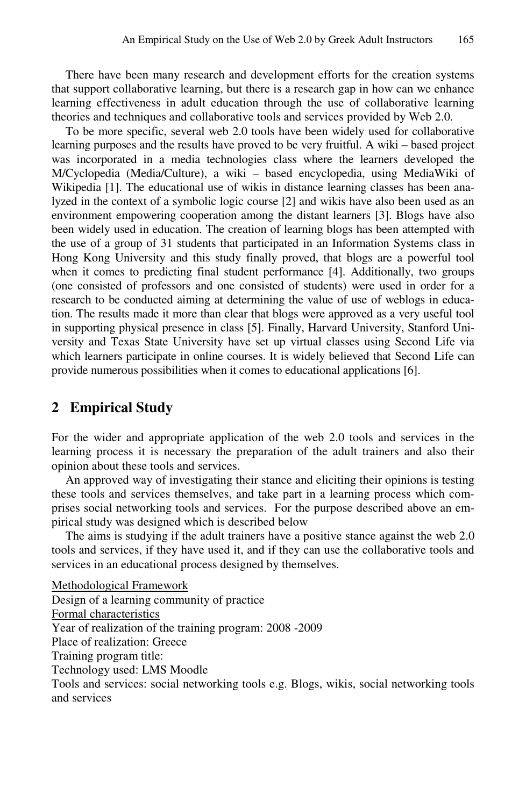There have been many research and development efforts for the creation systems that support collaborative learning, but there is a research gap in how can we enhance learning effectiveness in adult education through the use of collaborative learning theories and techniques and collaborative tools and services provided by Web 2.0.

To be more specific, several web 2.0 tools have been widely used for collaborative learning purposes and the results have proved to be very fruitful. A wiki – based project was incorporated in a media technologies class where the learners developed the M/Cyclopedia (Media/Culture), a wiki – based encyclopedia, using MediaWiki of Wikipedia [1]. The educational use of wikis in distance learning classes has been analyzed in the context of a symbolic logic course [2] and wikis have also been used as an environment empowering cooperation among the distant learners [3]. Blogs have also been widely used in education. The creation of learning blogs has been attempted with the use of a group of 31 students that participated in an Information Systems class in Hong Kong University and this study finally proved, that blogs are a powerful tool when it comes to predicting final student performance [4]. Additionally, two groups (one consisted of professors and one consisted of students) were used in order for a research to be conducted aiming at determining the value of use of weblogs in education. The results made it more than clear that blogs were approved as a very useful tool in supporting physical presence in class [5]. Finally, Harvard University, Stanford University and Texas State University have set up virtual classes using Second Life via which learners participate in online courses. It is widely believed that Second Life can provide numerous possibilities when it comes to educational applications [6].

#### **2 Empirical Study**

For the wider and appropriate application of the web 2.0 tools and services in the learning process it is necessary the preparation of the adult trainers and also their opinion about these tools and services.

An approved way of investigating their stance and eliciting their opinions is testing these tools and services themselves, and take part in a learning process which comprises social networking tools and services. For the purpose described above an empirical study was designed which is described below

The aims is studying if the adult trainers have a positive stance against the web 2.0 tools and services, if they have used it, and if they can use the collaborative tools and services in an educational process designed by themselves.

Methodological Framework Design of a learning community of practice Formal characteristics Year of realization of the training program: 2008 -2009 Place of realization: Greece Training program title: Technology used: LMS Moodle Tools and services: social networking tools e.g. Blogs, wikis, social networking tools and services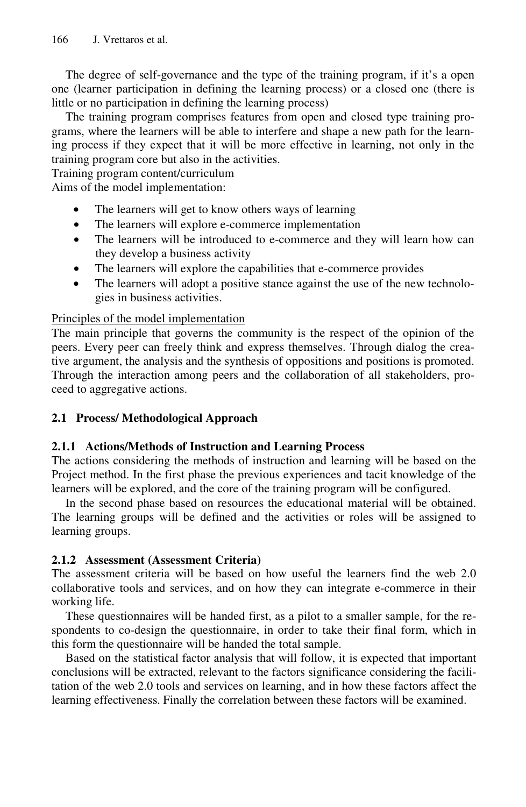The degree of self-governance and the type of the training program, if it's a open one (learner participation in defining the learning process) or a closed one (there is little or no participation in defining the learning process)

The training program comprises features from open and closed type training programs, where the learners will be able to interfere and shape a new path for the learning process if they expect that it will be more effective in learning, not only in the training program core but also in the activities.

Training program content/curriculum

Aims of the model implementation:

- The learners will get to know others ways of learning
- The learners will explore e-commerce implementation
- The learners will be introduced to e-commerce and they will learn how can they develop a business activity
- The learners will explore the capabilities that e-commerce provides
- The learners will adopt a positive stance against the use of the new technologies in business activities.

#### Principles of the model implementation

The main principle that governs the community is the respect of the opinion of the peers. Every peer can freely think and express themselves. Through dialog the creative argument, the analysis and the synthesis of oppositions and positions is promoted. Through the interaction among peers and the collaboration of all stakeholders, proceed to aggregative actions.

#### **2.1 Process/ Methodological Approach**

#### **2.1.1 Actions/Methods of Instruction and Learning Process**

The actions considering the methods of instruction and learning will be based on the Project method. In the first phase the previous experiences and tacit knowledge of the learners will be explored, and the core of the training program will be configured.

In the second phase based on resources the educational material will be obtained. The learning groups will be defined and the activities or roles will be assigned to learning groups.

#### **2.1.2 Assessment (Assessment Criteria)**

The assessment criteria will be based on how useful the learners find the web 2.0 collaborative tools and services, and on how they can integrate e-commerce in their working life.

These questionnaires will be handed first, as a pilot to a smaller sample, for the respondents to co-design the questionnaire, in order to take their final form, which in this form the questionnaire will be handed the total sample.

Based on the statistical factor analysis that will follow, it is expected that important conclusions will be extracted, relevant to the factors significance considering the facilitation of the web 2.0 tools and services on learning, and in how these factors affect the learning effectiveness. Finally the correlation between these factors will be examined.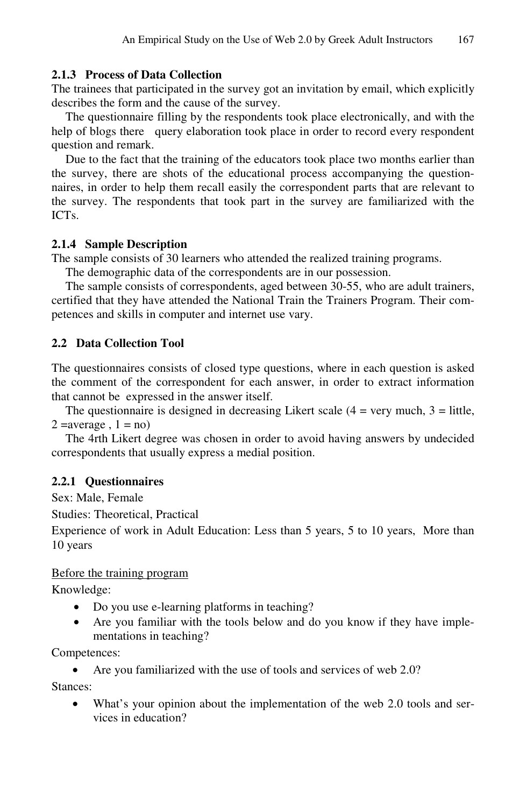#### **2.1.3 Process of Data Collection**

The trainees that participated in the survey got an invitation by email, which explicitly describes the form and the cause of the survey.

The questionnaire filling by the respondents took place electronically, and with the help of blogs there query elaboration took place in order to record every respondent question and remark.

Due to the fact that the training of the educators took place two months earlier than the survey, there are shots of the educational process accompanying the questionnaires, in order to help them recall easily the correspondent parts that are relevant to the survey. The respondents that took part in the survey are familiarized with the ICTs.

#### **2.1.4 Sample Description**

The sample consists of 30 learners who attended the realized training programs.

The demographic data of the correspondents are in our possession.

The sample consists of correspondents, aged between 30-55, who are adult trainers, certified that they have attended the National Train the Trainers Program. Their competences and skills in computer and internet use vary.

#### **2.2 Data Collection Tool**

The questionnaires consists of closed type questions, where in each question is asked the comment of the correspondent for each answer, in order to extract information that cannot be expressed in the answer itself.

The questionnaire is designed in decreasing Likert scale  $(4 = \text{very much}, 3 = \text{little}, \text{]}$  $2 = average, 1 = no$ 

The 4rth Likert degree was chosen in order to avoid having answers by undecided correspondents that usually express a medial position.

#### **2.2.1 Questionnaires**

Sex: Male, Female

Studies: Theoretical, Practical

Experience of work in Adult Education: Less than 5 years, 5 to 10 years, More than 10 years

#### Before the training program

Knowledge:

- Do you use e-learning platforms in teaching?
- Are you familiar with the tools below and do you know if they have implementations in teaching?

Competences:

Are you familiarized with the use of tools and services of web 2.0?

Stances:

• What's your opinion about the implementation of the web 2.0 tools and services in education?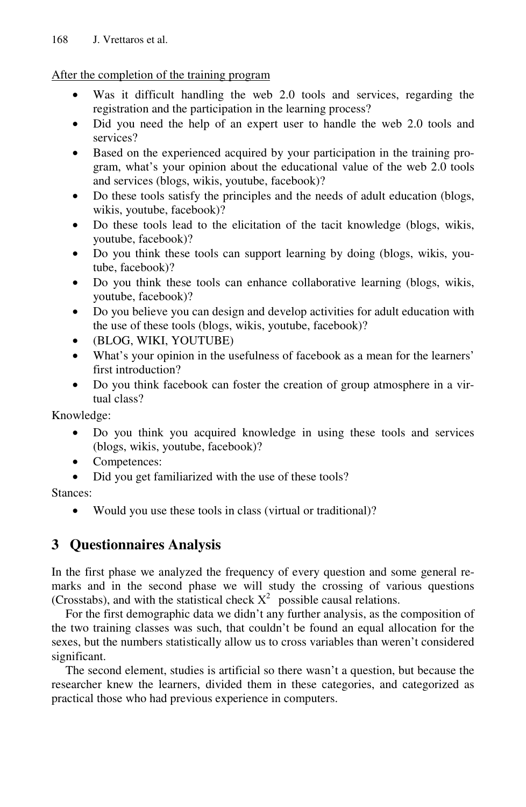#### After the completion of the training program

- Was it difficult handling the web 2.0 tools and services, regarding the registration and the participation in the learning process?
- Did you need the help of an expert user to handle the web 2.0 tools and services?
- Based on the experienced acquired by your participation in the training program, what's your opinion about the educational value of the web 2.0 tools and services (blogs, wikis, youtube, facebook)?
- Do these tools satisfy the principles and the needs of adult education (blogs, wikis, youtube, facebook)?
- Do these tools lead to the elicitation of the tacit knowledge (blogs, wikis, youtube, facebook)?
- Do you think these tools can support learning by doing (blogs, wikis, youtube, facebook)?
- Do you think these tools can enhance collaborative learning (blogs, wikis, youtube, facebook)?
- Do you believe you can design and develop activities for adult education with the use of these tools (blogs, wikis, youtube, facebook)?
- (BLOG, WIKI, YOUTUBE)
- What's your opinion in the usefulness of facebook as a mean for the learners' first introduction?
- Do you think facebook can foster the creation of group atmosphere in a virtual class?

Knowledge:

- Do you think you acquired knowledge in using these tools and services (blogs, wikis, youtube, facebook)?
- Competences:
- Did you get familiarized with the use of these tools?

Stances:

• Would you use these tools in class (virtual or traditional)?

## **3 Questionnaires Analysis**

In the first phase we analyzed the frequency of every question and some general remarks and in the second phase we will study the crossing of various questions (Crosstabs), and with the statistical check  $X^2$  possible causal relations.

For the first demographic data we didn't any further analysis, as the composition of the two training classes was such, that couldn't be found an equal allocation for the sexes, but the numbers statistically allow us to cross variables than weren't considered significant.

The second element, studies is artificial so there wasn't a question, but because the researcher knew the learners, divided them in these categories, and categorized as practical those who had previous experience in computers.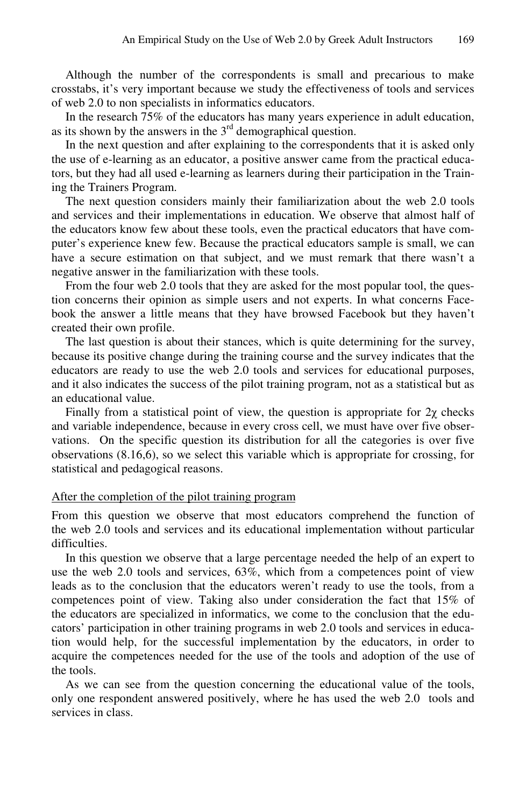Although the number of the correspondents is small and precarious to make crosstabs, it's very important because we study the effectiveness of tools and services of web 2.0 to non specialists in informatics educators.

In the research 75% of the educators has many years experience in adult education, as its shown by the answers in the  $3<sup>rd</sup>$  demographical question.

In the next question and after explaining to the correspondents that it is asked only the use of e-learning as an educator, a positive answer came from the practical educators, but they had all used e-learning as learners during their participation in the Training the Trainers Program.

The next question considers mainly their familiarization about the web 2.0 tools and services and their implementations in education. We observe that almost half of the educators know few about these tools, even the practical educators that have computer's experience knew few. Because the practical educators sample is small, we can have a secure estimation on that subject, and we must remark that there wasn't a negative answer in the familiarization with these tools.

From the four web 2.0 tools that they are asked for the most popular tool, the question concerns their opinion as simple users and not experts. In what concerns Facebook the answer a little means that they have browsed Facebook but they haven't created their own profile.

The last question is about their stances, which is quite determining for the survey, because its positive change during the training course and the survey indicates that the educators are ready to use the web 2.0 tools and services for educational purposes, and it also indicates the success of the pilot training program, not as a statistical but as an educational value.

Finally from a statistical point of view, the question is appropriate for  $2\chi$  checks and variable independence, because in every cross cell, we must have over five observations. On the specific question its distribution for all the categories is over five observations (8.16,6), so we select this variable which is appropriate for crossing, for statistical and pedagogical reasons.

#### After the completion of the pilot training program

From this question we observe that most educators comprehend the function of the web 2.0 tools and services and its educational implementation without particular difficulties.

In this question we observe that a large percentage needed the help of an expert to use the web 2.0 tools and services, 63%, which from a competences point of view leads as to the conclusion that the educators weren't ready to use the tools, from a competences point of view. Taking also under consideration the fact that 15% of the educators are specialized in informatics, we come to the conclusion that the educators' participation in other training programs in web 2.0 tools and services in education would help, for the successful implementation by the educators, in order to acquire the competences needed for the use of the tools and adoption of the use of the tools.

As we can see from the question concerning the educational value of the tools, only one respondent answered positively, where he has used the web 2.0 tools and services in class.